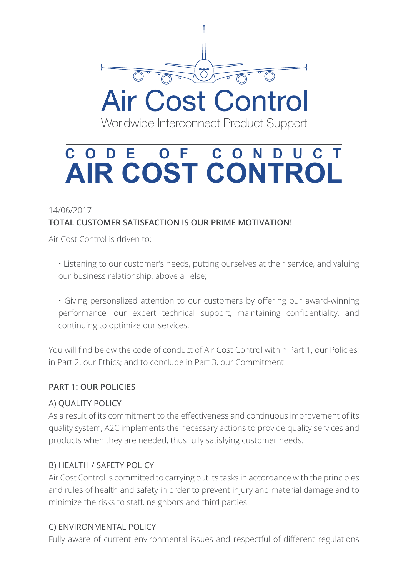

Worldwide Interconnect Product Support

# **CODE OF CONDUCT AIR COST CONTROL**

### 14/06/2017 **TOTAL CUSTOMER SATISFACTION IS OUR PRIME MOTIVATION!**

Air Cost Control is driven to:

• Listening to our customer's needs, putting ourselves at their service, and valuing our business relationship, above all else;

• Giving personalized attention to our customers by offering our award-winning performance, our expert technical support, maintaining confidentiality, and continuing to optimize our services.

You will find below the code of conduct of Air Cost Control within Part 1, our Policies; in Part 2, our Ethics; and to conclude in Part 3, our Commitment.

#### **PART 1: OUR POLICIES**

#### A) QUALITY POLICY

As a result of its commitment to the effectiveness and continuous improvement of its quality system, A2C implements the necessary actions to provide quality services and products when they are needed, thus fully satisfying customer needs.

#### B) HEALTH / SAFETY POLICY

Air Cost Control is committed to carrying out its tasks in accordance with the principles and rules of health and safety in order to prevent injury and material damage and to minimize the risks to staff, neighbors and third parties.

#### C) ENVIRONMENTAL POLICY

Fully aware of current environmental issues and respectful of different regulations